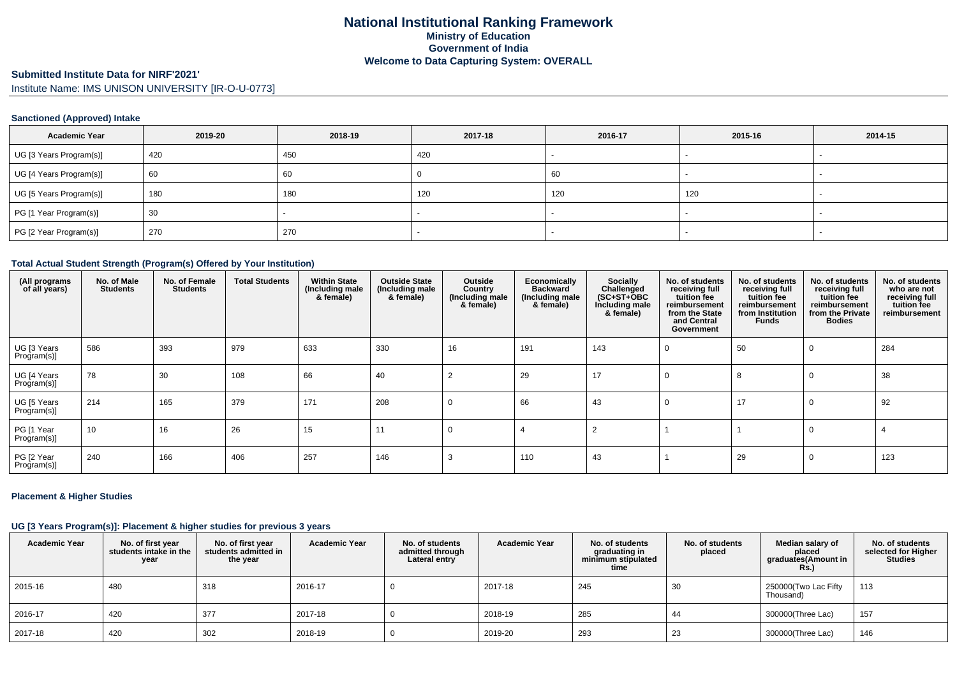# **Submitted Institute Data for NIRF'2021'**

Institute Name: IMS UNISON UNIVERSITY [IR-O-U-0773]

### **Sanctioned (Approved) Intake**

| <b>Academic Year</b>    | 2019-20 | 2018-19 | 2017-18 | 2016-17 | 2015-16 | 2014-15 |
|-------------------------|---------|---------|---------|---------|---------|---------|
| UG [3 Years Program(s)] | 420     | 450     | 420     |         |         |         |
| UG [4 Years Program(s)] | 60      | 60      |         | -60     |         |         |
| UG [5 Years Program(s)] | 180     | 180     | 120     | 120     | 120     |         |
| PG [1 Year Program(s)]  | 30      |         |         |         |         |         |
| PG [2 Year Program(s)]  | 270     | 270     |         |         |         |         |

#### **Total Actual Student Strength (Program(s) Offered by Your Institution)**

| (All programs<br>of all years) | No. of Male<br><b>Students</b> | No. of Female<br><b>Students</b> | <b>Total Students</b> | <b>Within State</b><br>(Including male<br>& female) | <b>Outside State</b><br>(Including male<br>& female) | Outside<br>Country<br>(Including male<br>& female) | Economically<br><b>Backward</b><br>(Including male<br>& female) | Socially<br>Challenged<br>$(SC+ST+OBC)$<br>Including male<br>& female) | No. of students<br>receiving full<br>tuition fee<br>reimbursement<br>from the State<br>and Central<br>Government | No. of students<br>receiving full<br>tuition fee<br>reimbursement<br>from Institution<br>Funds | No. of students<br>receiving full<br>tuition fee<br>reimbursement<br>from the Private<br><b>Bodies</b> | No. of students<br>who are not<br>receiving full<br>tuition fee<br>reimbursement |
|--------------------------------|--------------------------------|----------------------------------|-----------------------|-----------------------------------------------------|------------------------------------------------------|----------------------------------------------------|-----------------------------------------------------------------|------------------------------------------------------------------------|------------------------------------------------------------------------------------------------------------------|------------------------------------------------------------------------------------------------|--------------------------------------------------------------------------------------------------------|----------------------------------------------------------------------------------|
| UG [3 Years<br>Program(s)]     | 586                            | 393                              | 979                   | 633                                                 | 330                                                  | 16                                                 | 191                                                             | 143                                                                    |                                                                                                                  | 50                                                                                             |                                                                                                        | 284                                                                              |
| UG [4 Years<br>Program(s)]     | 78                             | 30                               | 108                   | 66                                                  | 40                                                   |                                                    | 29                                                              | 17                                                                     |                                                                                                                  | 8                                                                                              |                                                                                                        | 38                                                                               |
| UG [5 Years<br>Program(s)]     | 214                            | 165                              | 379                   | 171                                                 | 208                                                  | $\Omega$                                           | 66                                                              | 43                                                                     |                                                                                                                  | 17                                                                                             |                                                                                                        | 92                                                                               |
| PG [1 Year<br>Program(s)]      | 10                             | 16                               | 26                    | 15                                                  | 11                                                   | 0                                                  |                                                                 |                                                                        |                                                                                                                  |                                                                                                |                                                                                                        |                                                                                  |
| PG [2 Year<br>Program(s)]      | 240                            | 166                              | 406                   | 257                                                 | 146                                                  |                                                    | 110                                                             | 43                                                                     |                                                                                                                  | 29                                                                                             |                                                                                                        | 123                                                                              |

### **Placement & Higher Studies**

### **UG [3 Years Program(s)]: Placement & higher studies for previous 3 years**

| <b>Academic Year</b> | No. of first year<br>students intake in the<br>year | No. of first year<br>students admitted in<br>the year | <b>Academic Year</b> | No. of students<br>admitted through<br>Lateral entry | <b>Academic Year</b> | No. of students<br>graduating in<br>minimum stipulated<br>time | No. of students<br>placed | Median salary of<br>placed<br>graduates(Amount in<br><b>Rs.)</b> | No. of students<br>selected for Higher<br><b>Studies</b> |
|----------------------|-----------------------------------------------------|-------------------------------------------------------|----------------------|------------------------------------------------------|----------------------|----------------------------------------------------------------|---------------------------|------------------------------------------------------------------|----------------------------------------------------------|
| 2015-16              | 480                                                 | 318                                                   | 2016-17              |                                                      | 2017-18              | 245                                                            | 30                        | 250000(Two Lac Fifty<br>Thousand)                                | 113                                                      |
| 2016-17              | 420                                                 | 377                                                   | 2017-18              |                                                      | 2018-19              | 285                                                            | 44                        | 300000(Three Lac)                                                | 157                                                      |
| 2017-18              | 420                                                 | 302                                                   | 2018-19              |                                                      | 2019-20              | 293                                                            | 23                        | 300000(Three Lac)                                                | 146                                                      |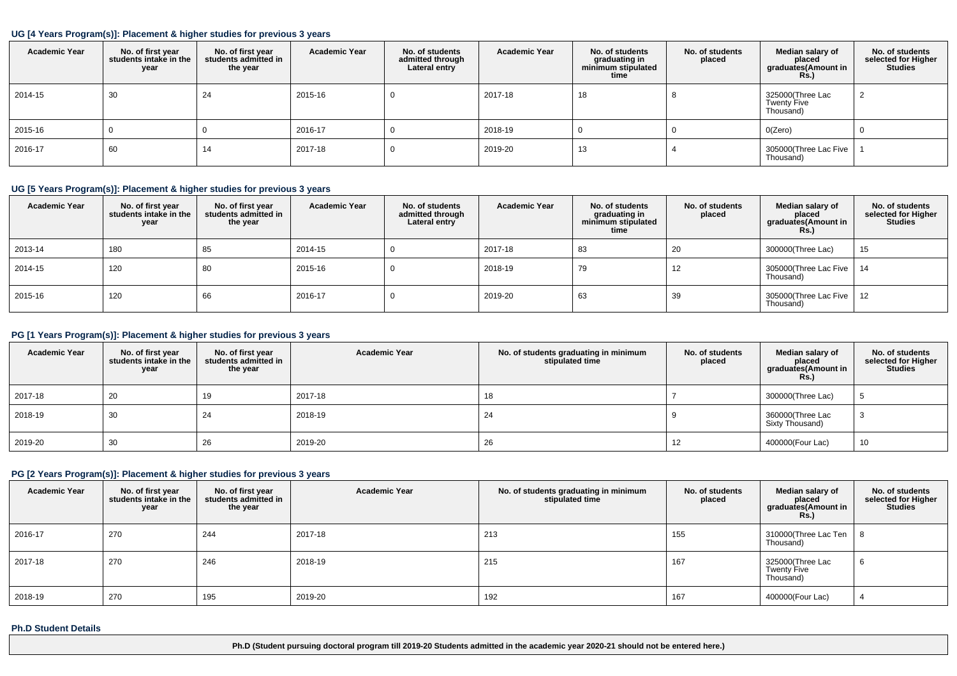#### **UG [4 Years Program(s)]: Placement & higher studies for previous 3 years**

| <b>Academic Year</b> | No. of first year<br>students intake in the<br>year | No. of first year<br>students admitted in<br>the year | <b>Academic Year</b> | No. of students<br>admitted through<br>Lateral entry | <b>Academic Year</b> | No. of students<br>graduating in<br>minimum stipulated<br>time | No. of students<br>placed | Median salary of<br>placed<br>graduates(Amount in<br>Rs. | No. of students<br>selected for Higher<br><b>Studies</b> |
|----------------------|-----------------------------------------------------|-------------------------------------------------------|----------------------|------------------------------------------------------|----------------------|----------------------------------------------------------------|---------------------------|----------------------------------------------------------|----------------------------------------------------------|
| 2014-15              | 30                                                  | 24                                                    | 2015-16              |                                                      | 2017-18              | 18                                                             |                           | 325000(Three Lac<br>Twenty Five<br>Thousand)             |                                                          |
| 2015-16              |                                                     |                                                       | 2016-17              |                                                      | 2018-19              |                                                                |                           | O(Zero)                                                  | U                                                        |
| 2016-17              | 60                                                  | 14                                                    | 2017-18              |                                                      | 2019-20              | 13                                                             |                           | 305000(Three Lac Five<br>Thousand)                       |                                                          |

### **UG [5 Years Program(s)]: Placement & higher studies for previous 3 years**

| <b>Academic Year</b> | No. of first year<br>students intake in the<br>year | No. of first year<br>students admitted in<br>the year | <b>Academic Year</b> | No. of students<br>admitted through<br>Lateral entry | <b>Academic Year</b> | No. of students<br>graduating in<br>minimum stipulated<br>time | No. of students<br>placed | Median salary of<br>placed<br>graduates(Amount in<br>Rs. | No. of students<br>selected for Higher<br><b>Studies</b> |
|----------------------|-----------------------------------------------------|-------------------------------------------------------|----------------------|------------------------------------------------------|----------------------|----------------------------------------------------------------|---------------------------|----------------------------------------------------------|----------------------------------------------------------|
| 2013-14              | 180                                                 | 85                                                    | 2014-15              |                                                      | 2017-18              | 83                                                             | 20                        | 300000(Three Lac)                                        | 15                                                       |
| 2014-15              | 120                                                 | 80                                                    | 2015-16              |                                                      | 2018-19              | 79                                                             | 12                        | 305000(Three Lac Five<br>Thousand)                       | 14                                                       |
| 2015-16              | 120                                                 | 66                                                    | 2016-17              |                                                      | 2019-20              | 63                                                             | 39                        | 305000(Three Lac Five<br>Thousand)                       | 12                                                       |

### **PG [1 Years Program(s)]: Placement & higher studies for previous 3 years**

| <b>Academic Year</b> | No. of first year<br>students intake in the<br>year | No. of first year<br>students admitted in<br>the year | <b>Academic Year</b> | No. of students graduating in minimum<br>stipulated time | No. of students<br>placed | Median salary of<br>placed<br>graduates(Amount in<br><b>Rs.)</b> | No. of students<br>selected for Higher<br><b>Studies</b> |
|----------------------|-----------------------------------------------------|-------------------------------------------------------|----------------------|----------------------------------------------------------|---------------------------|------------------------------------------------------------------|----------------------------------------------------------|
| 2017-18              | 20                                                  | 19                                                    | 2017-18              | 18                                                       |                           | 300000(Three Lac)                                                |                                                          |
| 2018-19              | 30                                                  | 24                                                    | 2018-19              | 24                                                       |                           | 360000(Three Lac<br>Sixty Thousand)                              |                                                          |
| 2019-20              | 30                                                  | 26                                                    | 2019-20              | 26                                                       |                           | 400000(Four Lac)                                                 | 10                                                       |

## **PG [2 Years Program(s)]: Placement & higher studies for previous 3 years**

| <b>Academic Year</b> | No. of first year<br>students intake in the<br>year | No. of first year<br>students admitted in<br>the year | <b>Academic Year</b> | No. of students graduating in minimum<br>stipulated time | No. of students<br>placed | Median salary of<br>placed<br>graduates(Amount in<br>R <sub>S</sub> | No. of students<br>selected for Higher<br><b>Studies</b> |
|----------------------|-----------------------------------------------------|-------------------------------------------------------|----------------------|----------------------------------------------------------|---------------------------|---------------------------------------------------------------------|----------------------------------------------------------|
| 2016-17              | 270                                                 | 244                                                   | 2017-18              | 213                                                      | 155                       | 310000(Three Lac Ten<br>Thousand)                                   | - 8                                                      |
| 2017-18              | 270                                                 | 246                                                   | 2018-19              | 215                                                      | 167                       | 325000(Three Lac<br><b>Twenty Five</b><br>Thousand)                 |                                                          |
| 2018-19              | 270                                                 | 195                                                   | 2019-20              | 192                                                      | 167                       | 400000(Four Lac)                                                    |                                                          |

#### **Ph.D Student Details**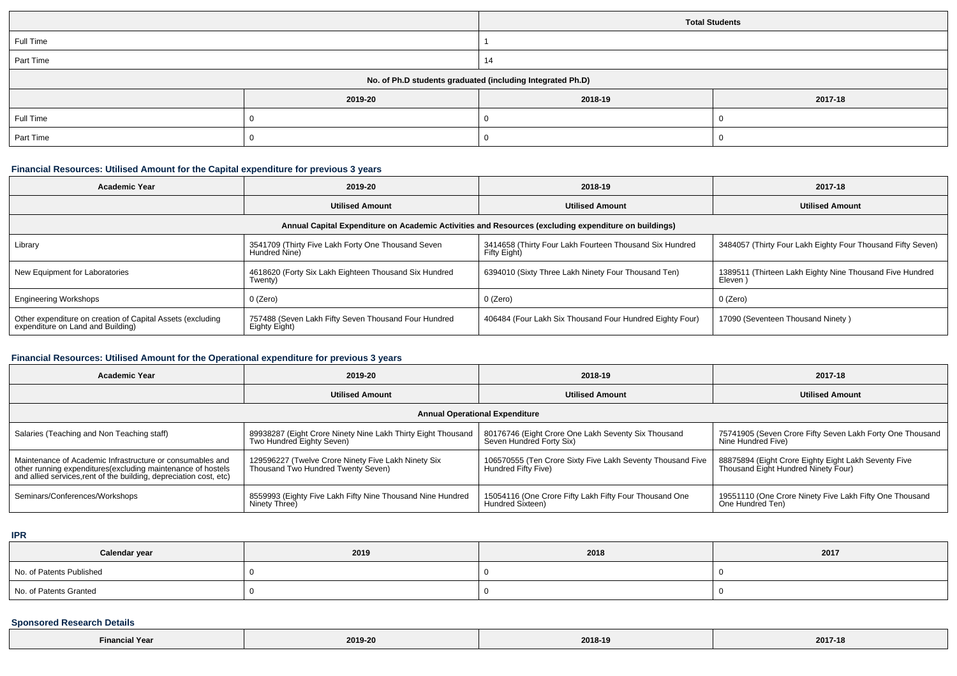|           |                               | <b>Total Students</b>                                      |  |  |  |
|-----------|-------------------------------|------------------------------------------------------------|--|--|--|
| Full Time |                               |                                                            |  |  |  |
| Part Time |                               | 14                                                         |  |  |  |
|           |                               | No. of Ph.D students graduated (including Integrated Ph.D) |  |  |  |
|           | 2019-20<br>2018-19<br>2017-18 |                                                            |  |  |  |
| Full Time |                               |                                                            |  |  |  |
| Part Time |                               |                                                            |  |  |  |

### **Financial Resources: Utilised Amount for the Capital expenditure for previous 3 years**

| <b>Academic Year</b>                                                                                 | 2019-20                                                               | 2018-19                                                                 | 2017-18                                                             |  |  |  |  |  |
|------------------------------------------------------------------------------------------------------|-----------------------------------------------------------------------|-------------------------------------------------------------------------|---------------------------------------------------------------------|--|--|--|--|--|
|                                                                                                      | <b>Utilised Amount</b>                                                | <b>Utilised Amount</b>                                                  | <b>Utilised Amount</b>                                              |  |  |  |  |  |
| Annual Capital Expenditure on Academic Activities and Resources (excluding expenditure on buildings) |                                                                       |                                                                         |                                                                     |  |  |  |  |  |
| Library                                                                                              | 3541709 (Thirty Five Lakh Forty One Thousand Seven<br>Hundred Nine)   | 3414658 (Thirty Four Lakh Fourteen Thousand Six Hundred<br>Fifty Eight) | 3484057 (Thirty Four Lakh Eighty Four Thousand Fifty Seven)         |  |  |  |  |  |
| New Equipment for Laboratories                                                                       | 4618620 (Forty Six Lakh Eighteen Thousand Six Hundred<br>Twenty)      | 6394010 (Sixty Three Lakh Ninety Four Thousand Ten)                     | 1389511 (Thirteen Lakh Eighty Nine Thousand Five Hundred<br>Eleven) |  |  |  |  |  |
| <b>Engineering Workshops</b>                                                                         | 0 (Zero)                                                              | 0 (Zero)                                                                | 0 (Zero)                                                            |  |  |  |  |  |
| Other expenditure on creation of Capital Assets (excluding<br>expenditure on Land and Building)      | 757488 (Seven Lakh Fifty Seven Thousand Four Hundred<br>Eighty Eight) | 406484 (Four Lakh Six Thousand Four Hundred Eighty Four)                | 17090 (Seventeen Thousand Ninety)                                   |  |  |  |  |  |

## **Financial Resources: Utilised Amount for the Operational expenditure for previous 3 years**

| 2019-20<br><b>Academic Year</b>                                                                                                                                                                 |                                                                                           | 2018-19                                                                           | 2017-18                                                                                     |  |  |  |  |  |
|-------------------------------------------------------------------------------------------------------------------------------------------------------------------------------------------------|-------------------------------------------------------------------------------------------|-----------------------------------------------------------------------------------|---------------------------------------------------------------------------------------------|--|--|--|--|--|
|                                                                                                                                                                                                 | <b>Utilised Amount</b>                                                                    | <b>Utilised Amount</b>                                                            | <b>Utilised Amount</b>                                                                      |  |  |  |  |  |
| <b>Annual Operational Expenditure</b>                                                                                                                                                           |                                                                                           |                                                                                   |                                                                                             |  |  |  |  |  |
| Salaries (Teaching and Non Teaching staff)                                                                                                                                                      | 89938287 (Eight Crore Ninety Nine Lakh Thirty Eight Thousand<br>Two Hundred Eighty Seven) | 80176746 (Eight Crore One Lakh Seventy Six Thousand<br>Seven Hundred Forty Six)   | 75741905 (Seven Crore Fifty Seven Lakh Forty One Thousand<br>Nine Hundred Five)             |  |  |  |  |  |
| Maintenance of Academic Infrastructure or consumables and<br>other running expenditures (excluding maintenance of hostels<br>and allied services, rent of the building, depreciation cost, etc) | 129596227 (Twelve Crore Ninety Five Lakh Ninety Six<br>Thousand Two Hundred Twenty Seven) | 106570555 (Ten Crore Sixty Five Lakh Seventy Thousand Five<br>Hundred Fifty Five) | 88875894 (Eight Crore Eighty Eight Lakh Seventy Five<br>Thousand Eight Hundred Ninety Four) |  |  |  |  |  |
| Seminars/Conferences/Workshops                                                                                                                                                                  | 8559993 (Eighty Five Lakh Fifty Nine Thousand Nine Hundred<br>Ninety Three)               | 15054116 (One Crore Fifty Lakh Fifty Four Thousand One<br>Hundred Sixteen)        | 19551110 (One Crore Ninety Five Lakh Fifty One Thousand<br>One Hundred Ten)                 |  |  |  |  |  |

**IPR**

| Calendar year            | 2019 | 2018 | 2017 |
|--------------------------|------|------|------|
| No. of Patents Published |      |      |      |
| No. of Patents Granted   |      |      |      |

# **Sponsored Research Details**

| <b>N</b> Year<br>Financia. | 2019-20 | 2018-19 | 2017-18 |
|----------------------------|---------|---------|---------|
|----------------------------|---------|---------|---------|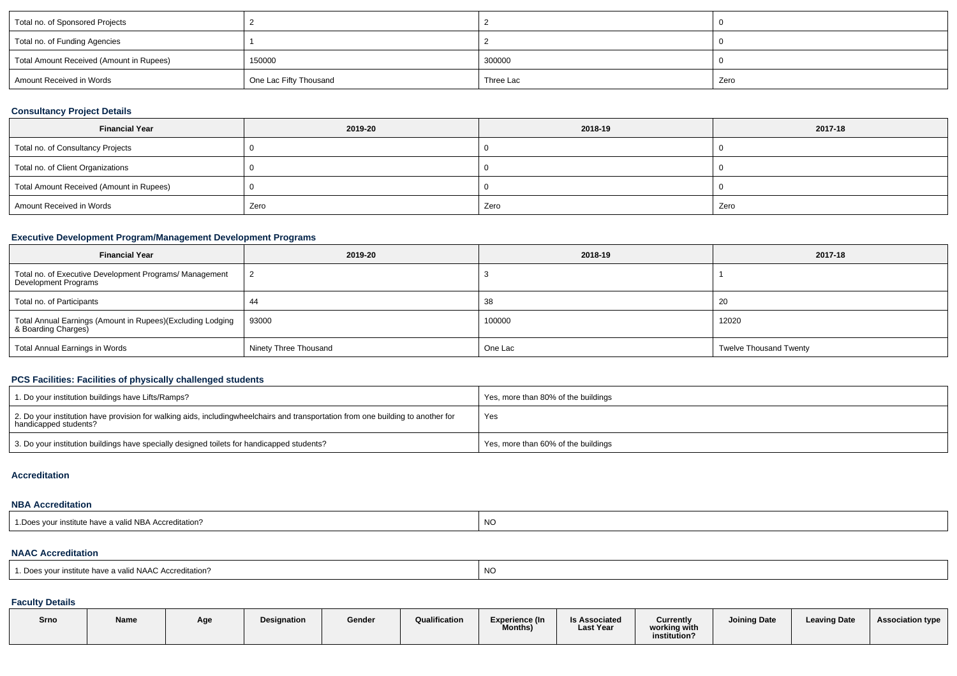| Total no. of Sponsored Projects          |                        |           |      |
|------------------------------------------|------------------------|-----------|------|
| Total no. of Funding Agencies            |                        |           |      |
| Total Amount Received (Amount in Rupees) | 150000                 | 300000    |      |
| Amount Received in Words                 | One Lac Fifty Thousand | Three Lac | Zero |

## **Consultancy Project Details**

| <b>Financial Year</b>                    | 2019-20 | 2018-19 | 2017-18 |  |  |
|------------------------------------------|---------|---------|---------|--|--|
| Total no. of Consultancy Projects        |         |         |         |  |  |
| Total no. of Client Organizations        |         |         |         |  |  |
| Total Amount Received (Amount in Rupees) |         |         |         |  |  |
| Amount Received in Words                 | Zero    | Zero    | Zero    |  |  |

## **Executive Development Program/Management Development Programs**

| <b>Financial Year</b>                                                             | 2019-20               | 2018-19 | 2017-18                       |  |  |
|-----------------------------------------------------------------------------------|-----------------------|---------|-------------------------------|--|--|
| Total no. of Executive Development Programs/ Management<br>Development Programs   |                       |         |                               |  |  |
| Total no. of Participants                                                         |                       | 38      | 20                            |  |  |
| Total Annual Earnings (Amount in Rupees)(Excluding Lodging<br>& Boarding Charges) | 93000                 | 100000  | 12020                         |  |  |
| Total Annual Earnings in Words                                                    | Ninety Three Thousand | One Lac | <b>Twelve Thousand Twenty</b> |  |  |

## **PCS Facilities: Facilities of physically challenged students**

| 1. Do your institution buildings have Lifts/Ramps?                                                                                                        | Yes, more than 80% of the buildings |
|-----------------------------------------------------------------------------------------------------------------------------------------------------------|-------------------------------------|
| 2. Do your institution have provision for walking aids, includingwheelchairs and transportation from one building to another for<br>handicapped students? | Yes                                 |
| 3. Do your institution buildings have specially designed toilets for handicapped students?                                                                | Yes, more than 60% of the buildings |

#### **Accreditation**

### **NBA Accreditation**

| d NBA Accreditation?<br>$\overline{\phantom{a}}$<br>institute<br>nave a<br>∵vall⊾<br>. | ו אר |
|----------------------------------------------------------------------------------------|------|
|                                                                                        |      |

#### **NAAC Accreditation**

| <sup>1</sup> Does vour institute have a valid NAAC Accreditation? | . NC |
|-------------------------------------------------------------------|------|
|-------------------------------------------------------------------|------|

### **Faculty Details**

| Srno | Name | Age | Designation | Gender | Qualification | Experience (In<br>Months) | <b>Is Associated</b><br><b>Last Year</b> | Currently<br>working with<br>institution? | Joining Date | <b>Leaving Date</b> | <b>Association type</b> |
|------|------|-----|-------------|--------|---------------|---------------------------|------------------------------------------|-------------------------------------------|--------------|---------------------|-------------------------|
|      |      |     |             |        |               |                           |                                          |                                           |              |                     |                         |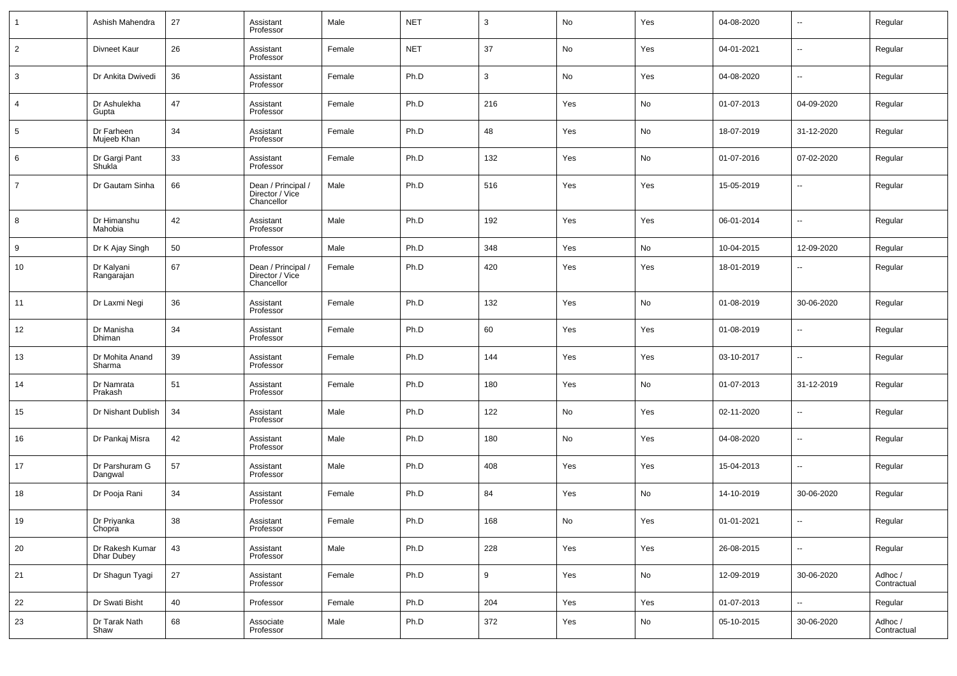|                | Ashish Mahendra               | 27 | Assistant<br>Professor                              | Male   | <b>NET</b> | 3                | No  | Yes | 04-08-2020 | $\overline{\phantom{a}}$ | Regular                |
|----------------|-------------------------------|----|-----------------------------------------------------|--------|------------|------------------|-----|-----|------------|--------------------------|------------------------|
| $\overline{2}$ | Divneet Kaur                  | 26 | Assistant<br>Professor                              | Female | <b>NET</b> | 37               | No  | Yes | 04-01-2021 | $\overline{\phantom{a}}$ | Regular                |
| 3              | Dr Ankita Dwivedi             | 36 | Assistant<br>Professor                              | Female | Ph.D       | 3                | No  | Yes | 04-08-2020 | $\sim$                   | Regular                |
| 4              | Dr Ashulekha<br>Gupta         | 47 | Assistant<br>Professor                              | Female | Ph.D       | 216              | Yes | No  | 01-07-2013 | 04-09-2020               | Regular                |
| 5              | Dr Farheen<br>Mujeeb Khan     | 34 | Assistant<br>Professor                              | Female | Ph.D       | 48               | Yes | No  | 18-07-2019 | 31-12-2020               | Regular                |
| 6              | Dr Gargi Pant<br>Shukla       | 33 | Assistant<br>Professor                              | Female | Ph.D       | 132              | Yes | No  | 01-07-2016 | 07-02-2020               | Regular                |
| $\overline{7}$ | Dr Gautam Sinha               | 66 | Dean / Principal /<br>Director / Vice<br>Chancellor | Male   | Ph.D       | 516              | Yes | Yes | 15-05-2019 |                          | Regular                |
| 8              | Dr Himanshu<br>Mahobia        | 42 | Assistant<br>Professor                              | Male   | Ph.D       | 192              | Yes | Yes | 06-01-2014 | --                       | Regular                |
| 9              | Dr K Ajay Singh               | 50 | Professor                                           | Male   | Ph.D       | 348              | Yes | No  | 10-04-2015 | 12-09-2020               | Regular                |
| 10             | Dr Kalyani<br>Rangarajan      | 67 | Dean / Principal /<br>Director / Vice<br>Chancellor | Female | Ph.D       | 420              | Yes | Yes | 18-01-2019 |                          | Regular                |
| 11             | Dr Laxmi Negi                 | 36 | Assistant<br>Professor                              | Female | Ph.D       | 132              | Yes | No  | 01-08-2019 | 30-06-2020               | Regular                |
| 12             | Dr Manisha<br>Dhiman          | 34 | Assistant<br>Professor                              | Female | Ph.D       | 60               | Yes | Yes | 01-08-2019 | ٠.                       | Regular                |
| 13             | Dr Mohita Anand<br>Sharma     | 39 | Assistant<br>Professor                              | Female | Ph.D       | 144              | Yes | Yes | 03-10-2017 | $\ddotsc$                | Regular                |
| 14             | Dr Namrata<br>Prakash         | 51 | Assistant<br>Professor                              | Female | Ph.D       | 180              | Yes | No  | 01-07-2013 | 31-12-2019               | Regular                |
| 15             | Dr Nishant Dublish            | 34 | Assistant<br>Professor                              | Male   | Ph.D       | 122              | No  | Yes | 02-11-2020 | $\overline{\phantom{a}}$ | Regular                |
| 16             | Dr Pankaj Misra               | 42 | Assistant<br>Professor                              | Male   | Ph.D       | 180              | No  | Yes | 04-08-2020 | $\sim$                   | Regular                |
| 17             | Dr Parshuram G<br>Dangwal     | 57 | Assistant<br>Professor                              | Male   | Ph.D       | 408              | Yes | Yes | 15-04-2013 | $\sim$                   | Regular                |
| 18             | Dr Pooja Rani                 | 34 | Assistant<br>Professor                              | Female | Ph.D       | 84               | Yes | No  | 14-10-2019 | 30-06-2020               | Regular                |
| 19             | Dr Priyanka<br>Chopra         | 38 | Assistant<br>Professor                              | Female | Ph.D       | 168              | No  | Yes | 01-01-2021 |                          | Regular                |
| 20             | Dr Rakesh Kumar<br>Dhar Dubey | 43 | Assistant<br>Professor                              | Male   | Ph.D       | 228              | Yes | Yes | 26-08-2015 | $\ddotsc$                | Regular                |
| 21             | Dr Shagun Tyagi               | 27 | Assistant<br>Professor                              | Female | Ph.D       | $\boldsymbol{9}$ | Yes | No  | 12-09-2019 | 30-06-2020               | Adhoc /<br>Contractual |
| 22             | Dr Swati Bisht                | 40 | Professor                                           | Female | Ph.D       | 204              | Yes | Yes | 01-07-2013 | $\ddotsc$                | Regular                |
| 23             | Dr Tarak Nath<br>Shaw         | 68 | Associate<br>Professor                              | Male   | Ph.D       | 372              | Yes | No  | 05-10-2015 | 30-06-2020               | Adhoc /<br>Contractual |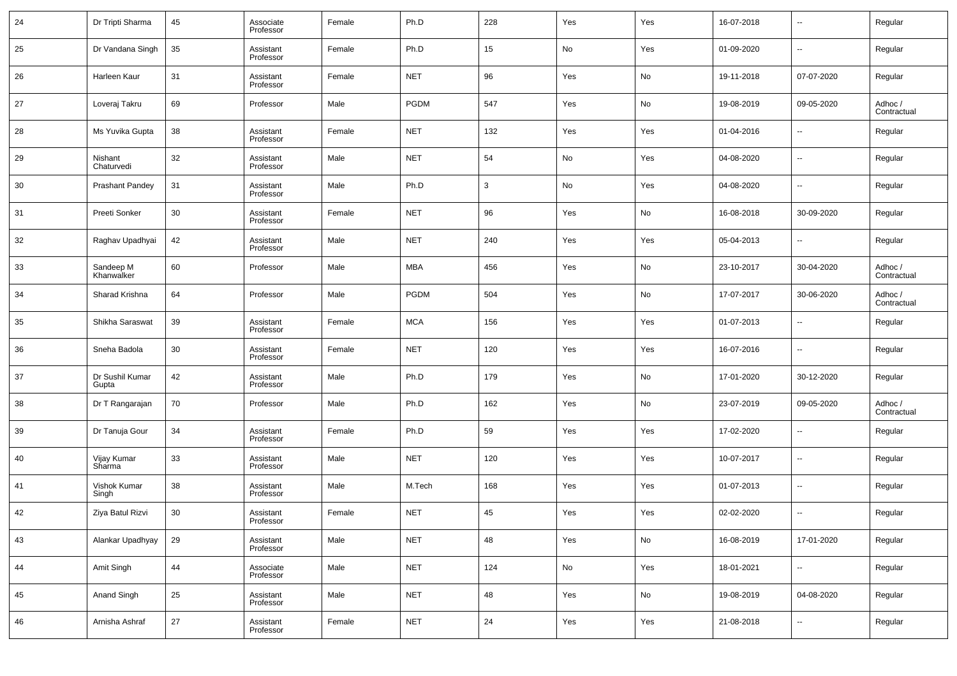| 24 | Dr Tripti Sharma                   | 45 | Associate<br>Professor | Female | Ph.D        | 228 | Yes | Yes           | 16-07-2018 | $\overline{\phantom{a}}$ | Regular                |
|----|------------------------------------|----|------------------------|--------|-------------|-----|-----|---------------|------------|--------------------------|------------------------|
| 25 | Dr Vandana Singh                   | 35 | Assistant<br>Professor | Female | Ph.D        | 15  | No  | Yes           | 01-09-2020 | $\sim$                   | Regular                |
| 26 | Harleen Kaur                       | 31 | Assistant<br>Professor | Female | <b>NET</b>  | 96  | Yes | No            | 19-11-2018 | 07-07-2020               | Regular                |
| 27 | Loveraj Takru                      | 69 | Professor              | Male   | <b>PGDM</b> | 547 | Yes | No            | 19-08-2019 | 09-05-2020               | Adhoc /<br>Contractual |
| 28 | Ms Yuvika Gupta                    | 38 | Assistant<br>Professor | Female | <b>NET</b>  | 132 | Yes | Yes           | 01-04-2016 | $\overline{\phantom{a}}$ | Regular                |
| 29 | Nishant<br>Chaturvedi              | 32 | Assistant<br>Professor | Male   | <b>NET</b>  | 54  | No  | Yes           | 04-08-2020 | $\sim$                   | Regular                |
| 30 | <b>Prashant Pandey</b>             | 31 | Assistant<br>Professor | Male   | Ph.D        | 3   | No  | Yes           | 04-08-2020 | $\sim$                   | Regular                |
| 31 | Preeti Sonker                      | 30 | Assistant<br>Professor | Female | <b>NET</b>  | 96  | Yes | No            | 16-08-2018 | 30-09-2020               | Regular                |
| 32 | Raghav Upadhyai                    | 42 | Assistant<br>Professor | Male   | <b>NET</b>  | 240 | Yes | Yes           | 05-04-2013 | $\sim$                   | Regular                |
| 33 | Sandeep <sub>M</sub><br>Khanwalker | 60 | Professor              | Male   | MBA         | 456 | Yes | No            | 23-10-2017 | 30-04-2020               | Adhoc /<br>Contractual |
| 34 | Sharad Krishna                     | 64 | Professor              | Male   | <b>PGDM</b> | 504 | Yes | No            | 17-07-2017 | 30-06-2020               | Adhoc /<br>Contractual |
| 35 | Shikha Saraswat                    | 39 | Assistant<br>Professor | Female | <b>MCA</b>  | 156 | Yes | Yes           | 01-07-2013 | $\overline{\phantom{a}}$ | Regular                |
| 36 | Sneha Badola                       | 30 | Assistant<br>Professor | Female | <b>NET</b>  | 120 | Yes | Yes           | 16-07-2016 | $\sim$                   | Regular                |
| 37 | Dr Sushil Kumar<br>Gupta           | 42 | Assistant<br>Professor | Male   | Ph.D        | 179 | Yes | No            | 17-01-2020 | 30-12-2020               | Regular                |
| 38 | Dr T Rangarajan                    | 70 | Professor              | Male   | Ph.D        | 162 | Yes | No            | 23-07-2019 | 09-05-2020               | Adhoc /<br>Contractual |
| 39 | Dr Tanuja Gour                     | 34 | Assistant<br>Professor | Female | Ph.D        | 59  | Yes | Yes           | 17-02-2020 | $\overline{\phantom{a}}$ | Regular                |
| 40 | Vijay Kumar<br>Sharma              | 33 | Assistant<br>Professor | Male   | <b>NET</b>  | 120 | Yes | Yes           | 10-07-2017 | --                       | Regular                |
| 41 | Vishok Kumar<br>Singh              | 38 | Assistant<br>Professor | Male   | M.Tech      | 168 | Yes | Yes           | 01-07-2013 | $\sim$                   | Regular                |
| 42 | Ziya Batul Rizvi                   | 30 | Assistant<br>Professor | Female | <b>NET</b>  | 45  | Yes | Yes           | 02-02-2020 | $\overline{\phantom{a}}$ | Regular                |
| 43 | Alankar Upadhyay                   | 29 | Assistant<br>Professor | Male   | <b>NET</b>  | 48  | Yes | $\mathsf{No}$ | 16-08-2019 | 17-01-2020               | Regular                |
| 44 | Amit Singh                         | 44 | Associate<br>Professor | Male   | <b>NET</b>  | 124 | No  | Yes           | 18-01-2021 | $\overline{\phantom{a}}$ | Regular                |
| 45 | Anand Singh                        | 25 | Assistant<br>Professor | Male   | <b>NET</b>  | 48  | Yes | No            | 19-08-2019 | 04-08-2020               | Regular                |
| 46 | Arnisha Ashraf                     | 27 | Assistant<br>Professor | Female | <b>NET</b>  | 24  | Yes | Yes           | 21-08-2018 | $\sim$                   | Regular                |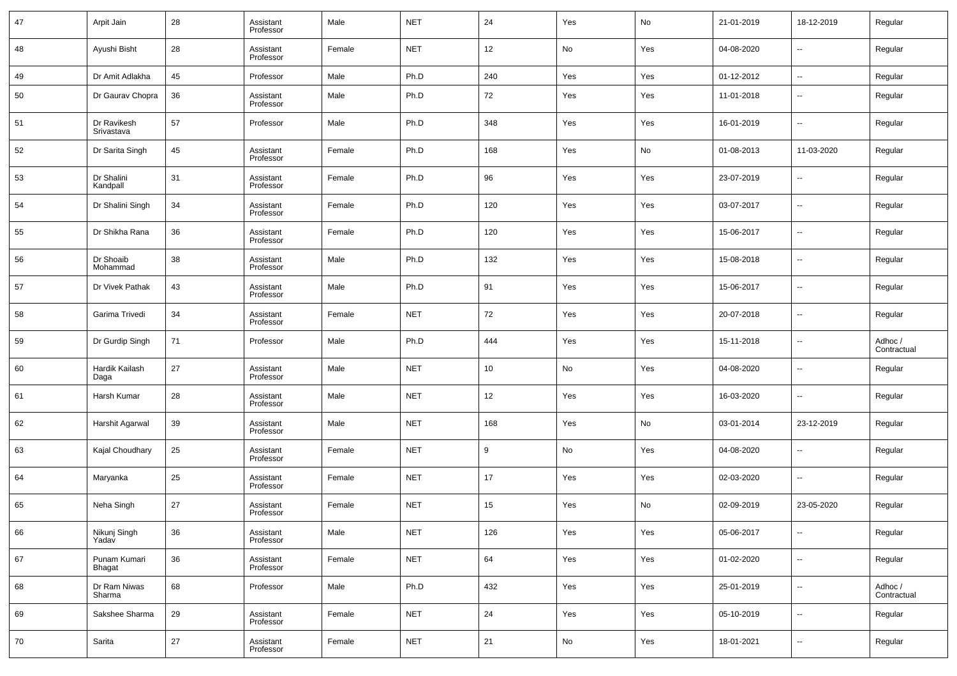| 47 | Arpit Jain                    | 28 | Assistant<br>Professor | Male   | <b>NET</b> | 24  | Yes                          | No  | 21-01-2019 | 18-12-2019               | Regular                |
|----|-------------------------------|----|------------------------|--------|------------|-----|------------------------------|-----|------------|--------------------------|------------------------|
| 48 | Ayushi Bisht                  | 28 | Assistant<br>Professor | Female | <b>NET</b> | 12  | No                           | Yes | 04-08-2020 | $\ddotsc$                | Regular                |
| 49 | Dr Amit Adlakha               | 45 | Professor              | Male   | Ph.D       | 240 | Yes                          | Yes | 01-12-2012 | $\overline{\phantom{a}}$ | Regular                |
| 50 | Dr Gaurav Chopra              | 36 | Assistant<br>Professor | Male   | Ph.D       | 72  | Yes                          | Yes | 11-01-2018 | $\overline{\phantom{a}}$ | Regular                |
| 51 | Dr Ravikesh<br>Srivastava     | 57 | Professor              | Male   | Ph.D       | 348 | Yes                          | Yes | 16-01-2019 | ۰.                       | Regular                |
| 52 | Dr Sarita Singh               | 45 | Assistant<br>Professor | Female | Ph.D       | 168 | Yes                          | No  | 01-08-2013 | 11-03-2020               | Regular                |
| 53 | Dr Shalini<br>Kandpall        | 31 | Assistant<br>Professor | Female | Ph.D       | 96  | Yes                          | Yes | 23-07-2019 | $\overline{\phantom{a}}$ | Regular                |
| 54 | Dr Shalini Singh              | 34 | Assistant<br>Professor | Female | Ph.D       | 120 | Yes                          | Yes | 03-07-2017 | ۰.                       | Regular                |
| 55 | Dr Shikha Rana                | 36 | Assistant<br>Professor | Female | Ph.D       | 120 | Yes                          | Yes | 15-06-2017 | $\overline{\phantom{a}}$ | Regular                |
| 56 | Dr Shoaib<br>Mohammad         | 38 | Assistant<br>Professor | Male   | Ph.D       | 132 | Yes                          | Yes | 15-08-2018 | ۰.                       | Regular                |
| 57 | Dr Vivek Pathak               | 43 | Assistant<br>Professor | Male   | Ph.D       | 91  | Yes                          | Yes | 15-06-2017 | ۰.                       | Regular                |
| 58 | Garima Trivedi                | 34 | Assistant<br>Professor | Female | <b>NET</b> | 72  | Yes                          | Yes | 20-07-2018 | ۰.                       | Regular                |
| 59 | Dr Gurdip Singh               | 71 | Professor              | Male   | Ph.D       | 444 | Yes                          | Yes | 15-11-2018 | $\overline{\phantom{a}}$ | Adhoc /<br>Contractual |
| 60 | Hardik Kailash<br>Daga        | 27 | Assistant<br>Professor | Male   | <b>NET</b> | 10  | $\operatorname{\mathsf{No}}$ | Yes | 04-08-2020 | $\overline{\phantom{a}}$ | Regular                |
| 61 | Harsh Kumar                   | 28 | Assistant<br>Professor | Male   | <b>NET</b> | 12  | Yes                          | Yes | 16-03-2020 | ۰.                       | Regular                |
| 62 | Harshit Agarwal               | 39 | Assistant<br>Professor | Male   | <b>NET</b> | 168 | Yes                          | No  | 03-01-2014 | 23-12-2019               | Regular                |
| 63 | Kajal Choudhary               | 25 | Assistant<br>Professor | Female | <b>NET</b> | 9   | No                           | Yes | 04-08-2020 | $\overline{\phantom{a}}$ | Regular                |
| 64 | Maryanka                      | 25 | Assistant<br>Professor | Female | <b>NET</b> | 17  | Yes                          | Yes | 02-03-2020 | ۰.                       | Regular                |
| 65 | Neha Singh                    | 27 | Assistant<br>Professor | Female | <b>NET</b> | 15  | Yes                          | No  | 02-09-2019 | 23-05-2020               | Regular                |
| 66 | Nikunj Singh<br>Yadav         | 36 | Assistant<br>Professor | Male   | <b>NET</b> | 126 | Yes                          | Yes | 05-06-2017 | ۰.                       | Regular                |
| 67 | Punam Kumari<br><b>Bhagat</b> | 36 | Assistant<br>Professor | Female | <b>NET</b> | 64  | Yes                          | Yes | 01-02-2020 | $\overline{\phantom{a}}$ | Regular                |
| 68 | Dr Ram Niwas<br>Sharma        | 68 | Professor              | Male   | Ph.D       | 432 | Yes                          | Yes | 25-01-2019 | ۰.                       | Adhoc /<br>Contractual |
| 69 | Sakshee Sharma                | 29 | Assistant<br>Professor | Female | <b>NET</b> | 24  | Yes                          | Yes | 05-10-2019 | $\overline{\phantom{a}}$ | Regular                |
| 70 | Sarita                        | 27 | Assistant<br>Professor | Female | <b>NET</b> | 21  | No                           | Yes | 18-01-2021 | $\overline{\phantom{a}}$ | Regular                |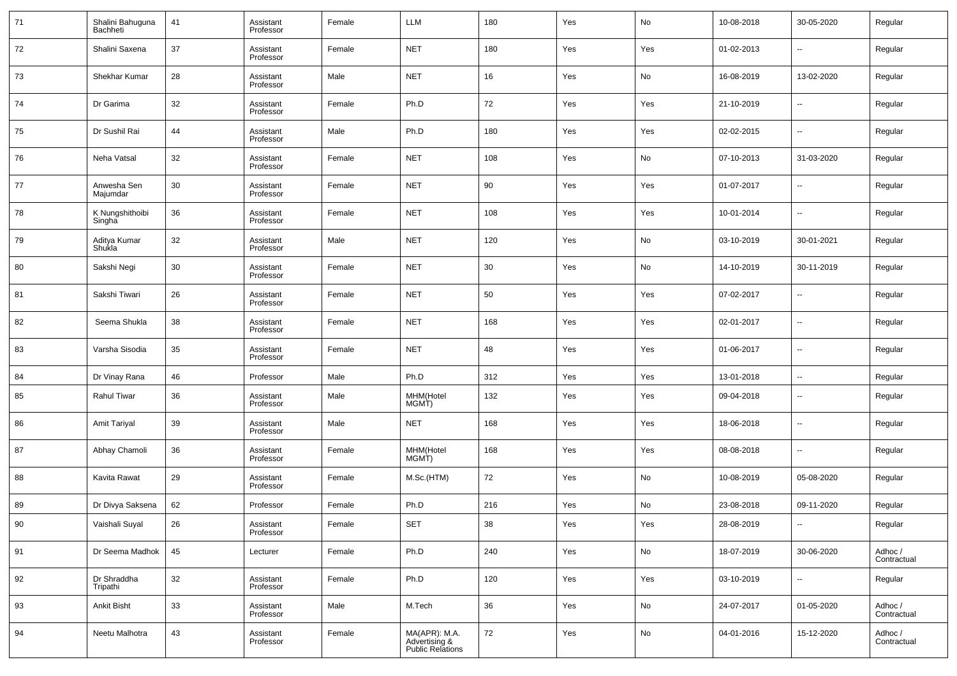| 71 | Shalini Bahuguna<br>Bachheti | 41 | Assistant<br>Professor | Female | LLM                                                       | 180 | Yes | No  | 10-08-2018 | 30-05-2020               | Regular                |
|----|------------------------------|----|------------------------|--------|-----------------------------------------------------------|-----|-----|-----|------------|--------------------------|------------------------|
| 72 | Shalini Saxena               | 37 | Assistant<br>Professor | Female | <b>NET</b>                                                | 180 | Yes | Yes | 01-02-2013 | $\overline{\phantom{a}}$ | Regular                |
| 73 | Shekhar Kumar                | 28 | Assistant<br>Professor | Male   | <b>NET</b>                                                | 16  | Yes | No  | 16-08-2019 | 13-02-2020               | Regular                |
| 74 | Dr Garima                    | 32 | Assistant<br>Professor | Female | Ph.D                                                      | 72  | Yes | Yes | 21-10-2019 | $\overline{\phantom{a}}$ | Regular                |
| 75 | Dr Sushil Rai                | 44 | Assistant<br>Professor | Male   | Ph.D                                                      | 180 | Yes | Yes | 02-02-2015 | $\overline{\phantom{a}}$ | Regular                |
| 76 | Neha Vatsal                  | 32 | Assistant<br>Professor | Female | <b>NET</b>                                                | 108 | Yes | No  | 07-10-2013 | 31-03-2020               | Regular                |
| 77 | Anwesha Sen<br>Majumdar      | 30 | Assistant<br>Professor | Female | <b>NET</b>                                                | 90  | Yes | Yes | 01-07-2017 | $\overline{\phantom{a}}$ | Regular                |
| 78 | K Nungshithoibi<br>Singha    | 36 | Assistant<br>Professor | Female | <b>NET</b>                                                | 108 | Yes | Yes | 10-01-2014 | $\overline{\phantom{a}}$ | Regular                |
| 79 | Aditya Kumar<br>Shukla       | 32 | Assistant<br>Professor | Male   | <b>NET</b>                                                | 120 | Yes | No  | 03-10-2019 | 30-01-2021               | Regular                |
| 80 | Sakshi Negi                  | 30 | Assistant<br>Professor | Female | <b>NET</b>                                                | 30  | Yes | No  | 14-10-2019 | 30-11-2019               | Regular                |
| 81 | Sakshi Tiwari                | 26 | Assistant<br>Professor | Female | <b>NET</b>                                                | 50  | Yes | Yes | 07-02-2017 | $\overline{\phantom{a}}$ | Regular                |
| 82 | Seema Shukla                 | 38 | Assistant<br>Professor | Female | <b>NET</b>                                                | 168 | Yes | Yes | 02-01-2017 | $\overline{\phantom{a}}$ | Regular                |
| 83 | Varsha Sisodia               | 35 | Assistant<br>Professor | Female | <b>NET</b>                                                | 48  | Yes | Yes | 01-06-2017 | $\overline{\phantom{a}}$ | Regular                |
| 84 | Dr Vinay Rana                | 46 | Professor              | Male   | Ph.D                                                      | 312 | Yes | Yes | 13-01-2018 | $\overline{\phantom{a}}$ | Regular                |
| 85 | Rahul Tiwar                  | 36 | Assistant<br>Professor | Male   | MHM(Hotel<br>MGMT)                                        | 132 | Yes | Yes | 09-04-2018 | $\overline{\phantom{a}}$ | Regular                |
| 86 | Amit Tariyal                 | 39 | Assistant<br>Professor | Male   | <b>NET</b>                                                | 168 | Yes | Yes | 18-06-2018 | $\overline{\phantom{a}}$ | Regular                |
| 87 | Abhay Chamoli                | 36 | Assistant<br>Professor | Female | MHM(Hotel<br>MGMT)                                        | 168 | Yes | Yes | 08-08-2018 | $\overline{\phantom{a}}$ | Regular                |
| 88 | Kavita Rawat                 | 29 | Assistant<br>Professor | Female | M.Sc.(HTM)                                                | 72  | Yes | No  | 10-08-2019 | 05-08-2020               | Regular                |
| 89 | Dr Divya Saksena             | 62 | Professor              | Female | Ph.D                                                      | 216 | Yes | No  | 23-08-2018 | 09-11-2020               | Regular                |
| 90 | Vaishali Suyal               | 26 | Assistant<br>Professor | Female | <b>SET</b>                                                | 38  | Yes | Yes | 28-08-2019 | $\overline{\phantom{a}}$ | Regular                |
| 91 | Dr Seema Madhok              | 45 | Lecturer               | Female | Ph.D                                                      | 240 | Yes | No  | 18-07-2019 | 30-06-2020               | Adhoc /<br>Contractual |
| 92 | Dr Shraddha<br>Tripathi      | 32 | Assistant<br>Professor | Female | Ph.D                                                      | 120 | Yes | Yes | 03-10-2019 | $\sim$                   | Regular                |
| 93 | <b>Ankit Bisht</b>           | 33 | Assistant<br>Professor | Male   | M.Tech                                                    | 36  | Yes | No  | 24-07-2017 | 01-05-2020               | Adhoc /<br>Contractual |
| 94 | Neetu Malhotra               | 43 | Assistant<br>Professor | Female | MA(APR): M.A.<br>Advertising &<br><b>Public Relations</b> | 72  | Yes | No  | 04-01-2016 | 15-12-2020               | Adhoc /<br>Contractual |